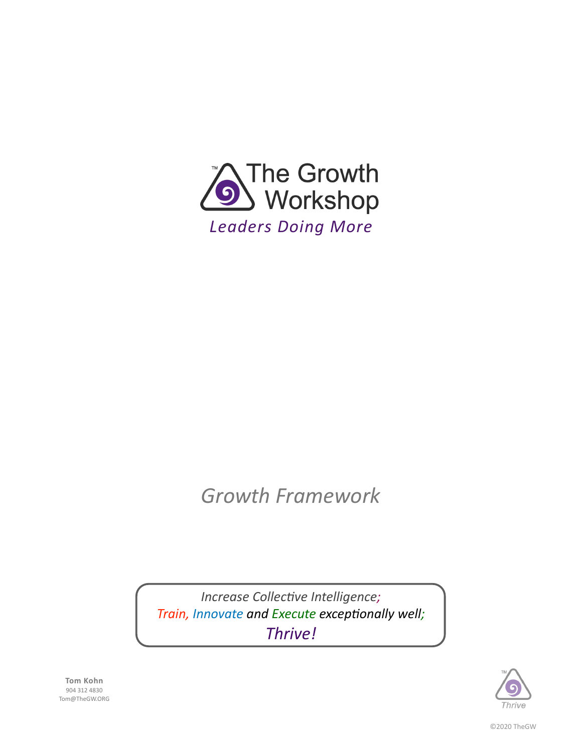

# *Growth Framework*

*Increase Collective Intelligence; Train, Innovate and Execute exceptionally well; Thrive!*



**Tom Kohn** 904 312 4830 Tom@TheGW.ORG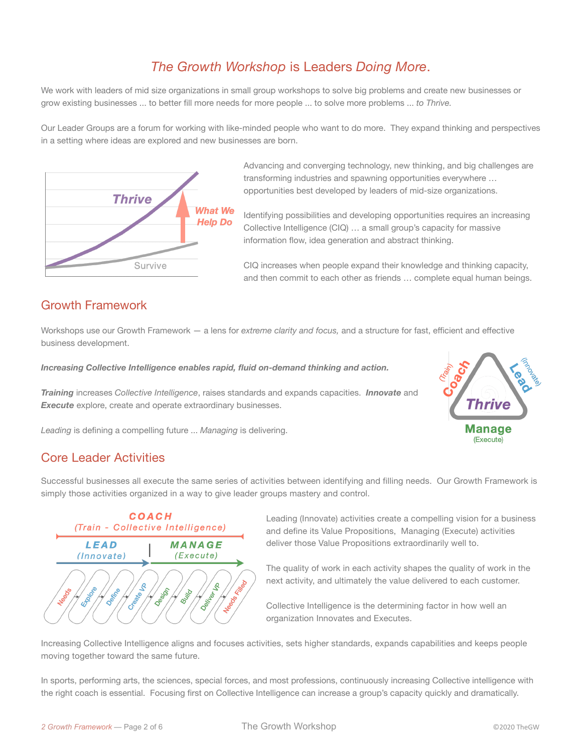# *The Growth Workshop* is Leaders *Doing More*.

We work with leaders of mid size organizations in small group workshops to solve big problems and create new businesses or grow existing businesses ... to better fill more needs for more people ... to solve more problems ... *to Thrive.*

Our Leader Groups are a forum for working with like-minded people who want to do more. They expand thinking and perspectives in a setting where ideas are explored and new businesses are born.



Advancing and converging technology, new thinking, and big challenges are transforming industries and spawning opportunities everywhere … opportunities best developed by leaders of mid-size organizations.

Identifying possibilities and developing opportunities requires an increasing Collective Intelligence (CIQ) … a small group's capacity for massive information flow, idea generation and abstract thinking.

CIQ increases when people expand their knowledge and thinking capacity, and then commit to each other as friends … complete equal human beings.

### Growth Framework

Workshops use our Growth Framework — a lens for *extreme clarity and focus,* and a structure for fast, efficient and effective business development.

*Increasing Collective Intelligence enables rapid, fluid on-demand thinking and action.*

*Training* increases *Collective Intelligence*, raises standards and expands capacities. *Innovate* and **Execute** explore, create and operate extraordinary businesses.



*Leading* is defining a compelling future ... *Managing* is delivering.

### Core Leader Activities

Successful businesses all execute the same series of activities between identifying and filling needs. Our Growth Framework is simply those activities organized in a way to give leader groups mastery and control.



Leading (Innovate) activities create a compelling vision for a business and define its Value Propositions, Managing (Execute) activities deliver those Value Propositions extraordinarily well to.

The quality of work in each activity shapes the quality of work in the next activity, and ultimately the value delivered to each customer.

Collective Intelligence is the determining factor in how well an organization Innovates and Executes.

Increasing Collective Intelligence aligns and focuses activities, sets higher standards, expands capabilities and keeps people moving together toward the same future.

In sports, performing arts, the sciences, special forces, and most professions, continuously increasing Collective intelligence with the right coach is essential. Focusing first on Collective Intelligence can increase a group's capacity quickly and dramatically.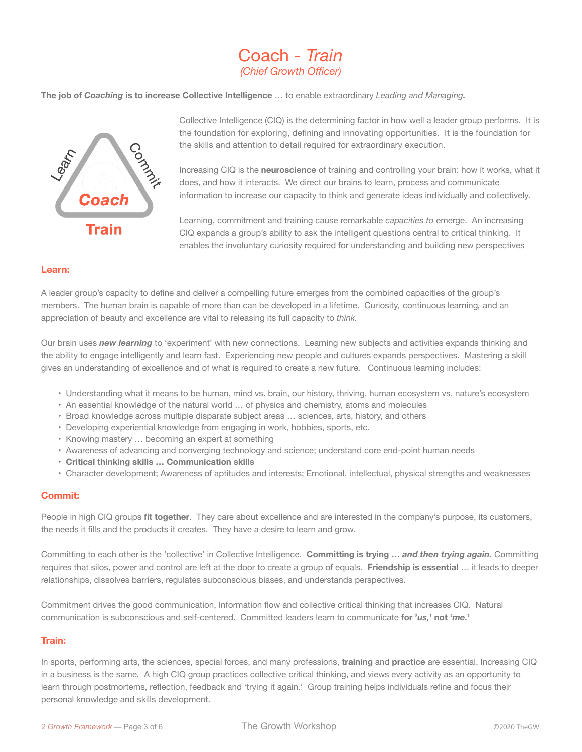# Coach - *Train (Chief Growth Officer)*

**The job of** *Coaching* **is to increase Collective Intelligence** … to enable extraordinary *Leading and Managing.* 



Collective Intelligence (CIQ) is the determining factor in how well a leader group performs. It is the foundation for exploring, defining and innovating opportunities. It is the foundation for the skills and attention to detail required for extraordinary execution.

Increasing CIQ is the **neuroscience** of training and controlling your brain: how it works, what it does, and how it interacts. We direct our brains to learn, process and communicate information to increase our capacity to think and generate ideas individually and collectively.

Learning, commitment and training cause remarkable *capacities to* emerge. An increasing CIQ expands a group's ability to ask the intelligent questions central to critical thinking. It enables the involuntary curiosity required for understanding and building new perspectives

#### **Learn:**

A leader group's capacity to define and deliver a compelling future emerges from the combined capacities of the group's members. The human brain is capable of more than can be developed in a lifetime. Curiosity*,* continuous learning*,* and an appreciation of beauty and excellence are vital to releasing its full capacity to *think.*

Our brain uses *new learning* to 'experiment' with new connections. Learning new subjects and activities expands thinking and the ability to engage intelligently and learn fast. Experiencing new people and cultures expands perspectives. Mastering a skill gives an understanding of excellence and of what is required to create a new future. Continuous learning includes:

- Understanding what it means to be human, mind vs. brain, our history, thriving, human ecosystem vs. nature's ecosystem
- An essential knowledge of the natural world … of physics and chemistry, atoms and molecules
- Broad knowledge across multiple disparate subject areas … sciences, arts, history, and others
- Developing experiential knowledge from engaging in work, hobbies, sports, etc.
- Knowing mastery … becoming an expert at something
- Awareness of advancing and converging technology and science; understand core end-point human needs
- **• Critical thinking skills … Communication skills**
- Character development; Awareness of aptitudes and interests; Emotional, intellectual, physical strengths and weaknesses

#### **Commit:**

People in high CIQ groups **fit together**. They care about excellence and are interested in the company's purpose, its customers, the needs it fills and the products it creates. They have a desire to learn and grow.

Committing to each other is the 'collective' in Collective Intelligence. **Committing is trying …** *and then trying again***.** Committing requires that silos, power and control are left at the door to create a group of equals. **Friendship is essential** … it leads to deeper relationships, dissolves barriers, regulates subconscious biases, and understands perspectives.

Commitment drives the good communication, Information flow and collective critical thinking that increases CIQ. Natural communication is subconscious and self-centered. Committed leaders learn to communicate **for '***us,***' not '***me.***'** 

#### **Train:**

In sports, performing arts, the sciences, special forces, and many professions, **training** and **practice** are essential. Increasing CIQ in a business is the same*.* A high CIQ group practices collective critical thinking, and views every activity as an opportunity to learn through postmortems, reflection, feedback and 'trying it again.' Group training helps individuals refine and focus their personal knowledge and skills development.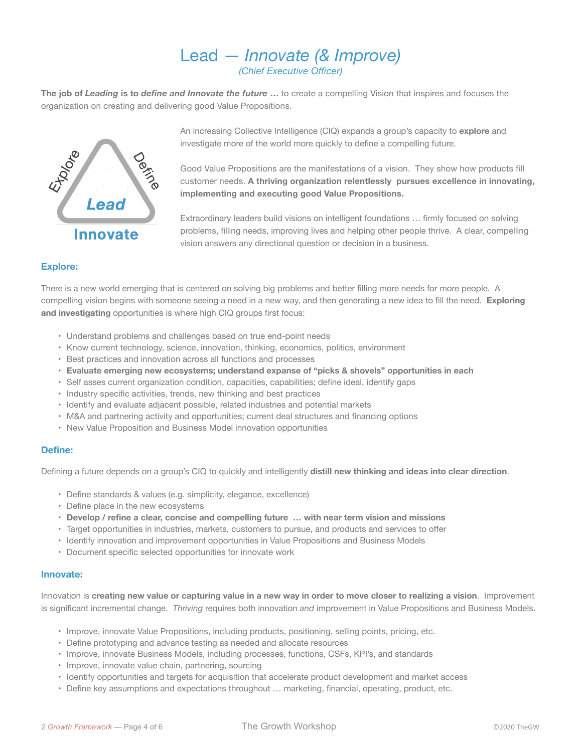## Lead — *Innovate (& Improve) (Chief Executive Officer)*

**The job of** *Leading* **is to** *define and Innovate the future* **…** to create a compelling Vision that inspires and focuses the organization on creating and delivering good Value Propositions.



An increasing Collective Intelligence (CIQ) expands a group's capacity to **explore** and investigate more of the world more quickly to define a compelling future.

Good Value Propositions are the manifestations of a vision. They show how products fill customer needs. **A thriving organization relentlessly pursues excellence in innovating, implementing and executing good Value Propositions.**

Extraordinary leaders build visions on intelligent foundations … firmly focused on solving problems, filling needs, improving lives and helping other people thrive. A clear, compelling vision answers any directional question or decision in a business.

#### **Explore:**

There is a new world emerging that is centered on solving big problems and better filling more needs for more people. A compelling vision begins with someone seeing a need in a new way, and then generating a new idea to fill the need. **Exploring and investigating** opportunities is where high CIQ groups first focus:

- Understand problems and challenges based on true end-point needs
- Know current technology, science, innovation, thinking, economics, politics, environment
- Best practices and innovation across all functions and processes
- **• Evaluate emerging new ecosystems; understand expanse of "picks & shovels" opportunities in each**
- Self asses current organization condition, capacities, capabilities; define ideal, identify gaps
- Industry specific activities, trends, new thinking and best practices
- Identify and evaluate adjacent possible, related industries and potential markets
- M&A and partnering activity and opportunities; current deal structures and financing options
- New Value Proposition and Business Model innovation opportunities

#### **Define:**

Defining a future depends on a group's CIQ to quickly and intelligently **distill new thinking and ideas into clear direction**.

- Define standards & values (e.g. simplicity, elegance, excellence)
- Define place in the new ecosystems
- **• Develop / refine a clear, concise and compelling future … with near term vision and missions**
- Target opportunities in industries, markets, customers to pursue, and products and services to offer
- Identify innovation and improvement opportunities in Value Propositions and Business Models
- Document specific selected opportunities for innovate work

#### **Innovate:**

Innovation is **creating new value or capturing value in a new way in order to move closer to realizing a vision**. Improvement is significant incremental change. *Thriving* requires both innovation *and* improvement in Value Propositions and Business Models.

- Improve, innovate Value Propositions, including products, positioning, selling points, pricing, etc.
- Define prototyping and advance testing as needed and allocate resources
- Improve, innovate Business Models, including processes, functions, CSFs, KPI's, and standards
- Improve, innovate value chain, partnering, sourcing
- Identify opportunities and targets for acquisition that accelerate product development and market access
- Define key assumptions and expectations throughout … marketing, financial, operating, product, etc.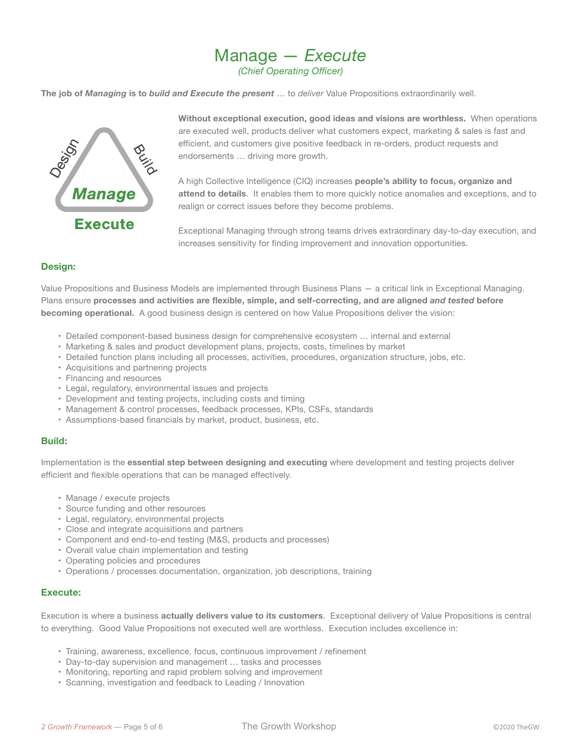### Manage — *Execute (Chief Operating Officer)*

**The job of** *Managing* **is to** *build and Execute the present* … to *deliver* Value Propositions extraordinarily well.



**Without exceptional execution, good ideas and visions are worthless.** When operations are executed well, products deliver what customers expect, marketing & sales is fast and efficient, and customers give positive feedback in re-orders, product requests and endorsements … driving more growth.

A high Collective Intelligence (CIQ) increases **people's ability to focus, organize and attend to details**. It enables them to more quickly notice anomalies and exceptions, and to realign or correct issues before they become problems.

Exceptional Managing through strong teams drives extraordinary day-to-day execution, and increases sensitivity for finding improvement and innovation opportunities.

#### **Design:**

Value Propositions and Business Models are implemented through Business Plans — a critical link in Exceptional Managing. Plans ensure **processes and activities are flexible, simple, and self-correcting, and are aligned** *and tested* **before becoming operational.** A good business design is centered on how Value Propositions deliver the vision:

- Detailed component-based business design for comprehensive ecosystem … internal and external
- Marketing & sales and product development plans, projects, costs, timelines by market
- Detailed function plans including all processes, activities, procedures, organization structure, jobs, etc.
- Acquisitions and partnering projects
- Financing and resources
- Legal, regulatory, environmental issues and projects
- Development and testing projects, including costs and timing
- Management & control processes, feedback processes, KPIs, CSFs, standards
- Assumptions-based financials by market, product, business, etc.

#### **Build:**

Implementation is the **essential step between designing and executing** where development and testing projects deliver efficient and flexible operations that can be managed effectively.

- Manage / execute projects
- Source funding and other resources
- Legal, regulatory, environmental projects
- Close and integrate acquisitions and partners
- Component and end-to-end testing (M&S, products and processes)
- Overall value chain implementation and testing
- Operating policies and procedures
- Operations / processes documentation, organization, job descriptions, training

#### **Execute:**

Execution is where a business **actually delivers value to its customers**. Exceptional delivery of Value Propositions is central to everything. Good Value Propositions not executed well are worthless. Execution includes excellence in:

- Training, awareness, excellence, focus, continuous improvement / refinement
- Day-to-day supervision and management … tasks and processes
- Monitoring, reporting and rapid problem solving and improvement
- Scanning, investigation and feedback to Leading / Innovation